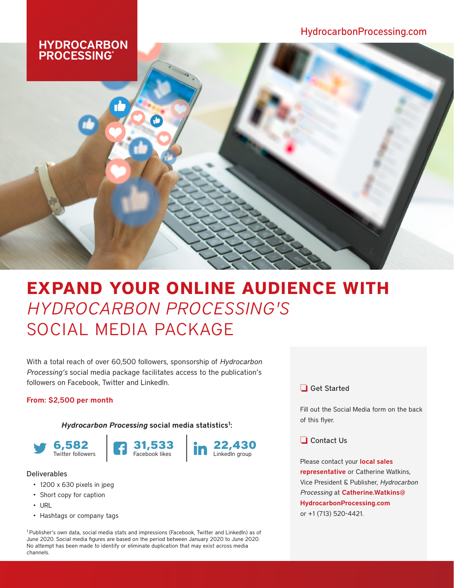# **HYDROCARBON<br>PROCESSING®**

# **EXPAND YOUR ONLINE AUDIENCE WITH**  *HYDROCARBON PROCESSING'S* SOCIAL MEDIA PACKAGE

With a total reach of over 60,500 followers, sponsorship of *Hydrocarbon Processing's* social media package facilitates access to the publication's followers on Facebook, Twitter and LinkedIn.

### From: \$2,500 per month

Hydrocarbon Processing social media statistics<sup>1</sup>:







#### Deliverables

- 1200 x 630 pixels in jpeg
- Short copy for caption
- URL
- Hashtags or company tags

1 Publisher's own data, social media stats and impressions (Facebook, Twitter and LinkedIn) as of June 2020. Social media figures are based on the period between January 2020 to June 2020. No attempt has been made to identify or eliminate duplication that may exist across media channels.

## $\Box$  Get Started

Fill out the Social Media form on the back of this flyer.

 $\Box$  Contact Us

Please contact your **local sales** [representative](https://www.hydrocarbonprocessing.com/pages/advertising-contacts) or Catherine Watkins, Vice President & Publisher, *Hydrocarbon Processing* at [Catherine.Watkins@](mailto:Catherine.Watkins%40HydrocarbonProcessing.com%20%20?subject=HP%20Social%20Media%20Package) [HydrocarbonProcessing.com](mailto:Catherine.Watkins%40HydrocarbonProcessing.com%20%20?subject=HP%20Social%20Media%20Package)  or +1 (713) 520-4421.